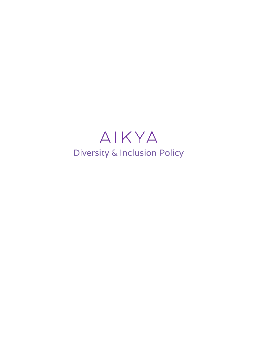# AIKYA Diversity & Inclusion Policy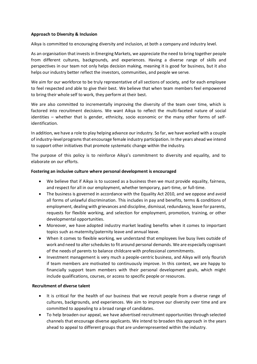#### **Approach to Diversity & Inclusion**

Aikya is committed to encouraging diversity and inclusion, at both a company and industry level.

As an organisation that invests in Emerging Markets, we appreciate the need to bring together people from different cultures, backgrounds, and experiences. Having a diverse range of skills and perspectives in our team not only helps decision making, meaning it is good for business, but it also helps our industry better reflect the investors, communities, and people we serve.

We aim for our workforce to be truly representative of all sections of society, and for each employee to feel respected and able to give their best. We believe that when team members feel empowered to bring their whole self to work, they perform at their best.

We are also committed to incrementally improving the diversity of the team over time, which is factored into recruitment decisions. We want Aikya to reflect the multi-faceted nature of social identities – whether that is gender, ethnicity, socio economic or the many other forms of selfidentification.

In addition, we have a role to play helping advance our industry. So far, we have worked with a couple of industry-level programs that encourage female industry participation. In the years ahead we intend to support other initiatives that promote systematic change within the industry.

The purpose of this policy is to reinforce Aikya's commitment to diversity and equality, and to elaborate on our efforts.

## **Fostering an inclusive culture where personal development is encouraged**

- We believe that if Aikya is to succeed as a business then we must provide equality, fairness, and respect for all in our employment, whether temporary, part-time, or full-time.
- The business is governed in accordance with the Equality Act 2010, and we oppose and avoid all forms of unlawful discrimination. This includes in pay and benefits, terms & conditions of employment, dealing with grievances and discipline, dismissal, redundancy, leave for parents, requests for flexible working, and selection for employment, promotion, training, or other developmental opportunities.
- Moreover, we have adopted industry market leading benefits when it comes to important topics such as maternity/paternity leave and annual leave.
- When it comes to flexible working, we understand that employees live busy lives outside of work and need to alter schedules to fit around personal demands. We are especially cognisant of the needs of parents to balance childcare with professional commitments.
- Investment management is very much a people-centric business, and Aikya will only flourish if team members are motivated to continuously improve. In this context, we are happy to financially support team members with their personal development goals, which might include qualifications, courses, or access to specific people or resources.

## **Recruitment of diverse talent**

- It is critical for the health of our business that we recruit people from a diverse range of cultures, backgrounds, and experiences. We aim to improve our diversity over time and are committed to appealing to a broad range of candidates.
- To help broaden our appeal, we have advertised recruitment opportunities through selected channels that encourage diverse applicants. We intend to broaden this approach in the years ahead to appeal to different groups that are underrepresented within the industry.